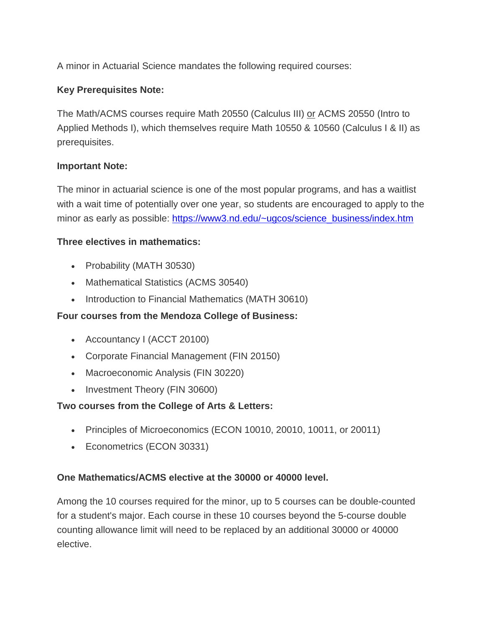A minor in Actuarial Science mandates the following required courses:

# **Key Prerequisites Note:**

The Math/ACMS courses require Math 20550 (Calculus III) or ACMS 20550 (Intro to Applied Methods I), which themselves require Math 10550 & 10560 (Calculus I & II) as prerequisites.

## **Important Note:**

The minor in actuarial science is one of the most popular programs, and has a waitlist with a wait time of potentially over one year, so students are encouraged to apply to the minor as early as possible: [https://www3.nd.edu/~ugcos/science\\_business/index.htm](https://www3.nd.edu/%7Eugcos/science_business/index.htm)

## **Three electives in mathematics:**

- Probability (MATH 30530)
- Mathematical Statistics (ACMS 30540)
- Introduction to Financial Mathematics (MATH 30610)

## **Four courses from the Mendoza College of Business:**

- Accountancy I (ACCT 20100)
- Corporate Financial Management (FIN 20150)
- Macroeconomic Analysis (FIN 30220)
- Investment Theory (FIN 30600)

## **Two courses from the College of Arts & Letters:**

- Principles of Microeconomics (ECON 10010, 20010, 10011, or 20011)
- Econometrics (ECON 30331)

## **One Mathematics/ACMS elective at the 30000 or 40000 level.**

Among the 10 courses required for the minor, up to 5 courses can be double-counted for a student's major. Each course in these 10 courses beyond the 5-course double counting allowance limit will need to be replaced by an additional 30000 or 40000 elective.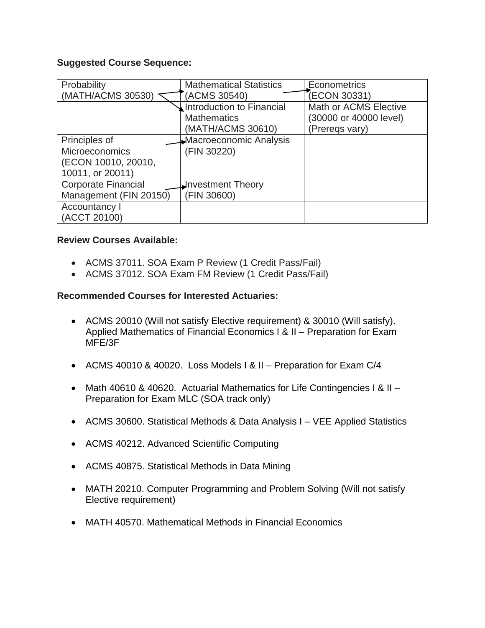#### **Suggested Course Sequence:**

| Probability                | <b>Mathematical Statistics</b> | <b>Econometrics</b>    |
|----------------------------|--------------------------------|------------------------|
| (MATH/ACMS 30530)          | (ACMS 30540)                   | (ECON 30331)           |
|                            | Introduction to Financial      | Math or ACMS Elective  |
|                            | <b>Mathematics</b>             | (30000 or 40000 level) |
|                            | (MATH/ACMS 30610)              | (Preregs vary)         |
| Principles of              | <b>Macroeconomic Analysis</b>  |                        |
| Microeconomics             | (FIN 30220)                    |                        |
| (ECON 10010, 20010,        |                                |                        |
| 10011, or 20011)           |                                |                        |
| <b>Corporate Financial</b> | Investment Theory              |                        |
| Management (FIN 20150)     | (FIN 30600)                    |                        |
| Accountancy I              |                                |                        |
| (ACCT 20100)               |                                |                        |

#### **Review Courses Available:**

- ACMS 37011. SOA Exam P Review (1 Credit Pass/Fail)
- ACMS 37012. SOA Exam FM Review (1 Credit Pass/Fail)

#### **Recommended Courses for Interested Actuaries:**

- ACMS 20010 (Will not satisfy Elective requirement) & 30010 (Will satisfy). Applied Mathematics of Financial Economics I & II – Preparation for Exam MFE/3F
- ACMS 40010 & 40020. Loss Models I & II Preparation for Exam C/4
- Math 40610 & 40620. Actuarial Mathematics for Life Contingencies I & II Preparation for Exam MLC (SOA track only)
- ACMS 30600. Statistical Methods & Data Analysis I VEE Applied Statistics
- ACMS 40212. Advanced Scientific Computing
- ACMS 40875. Statistical Methods in Data Mining
- MATH 20210. Computer Programming and Problem Solving (Will not satisfy Elective requirement)
- MATH 40570. Mathematical Methods in Financial Economics